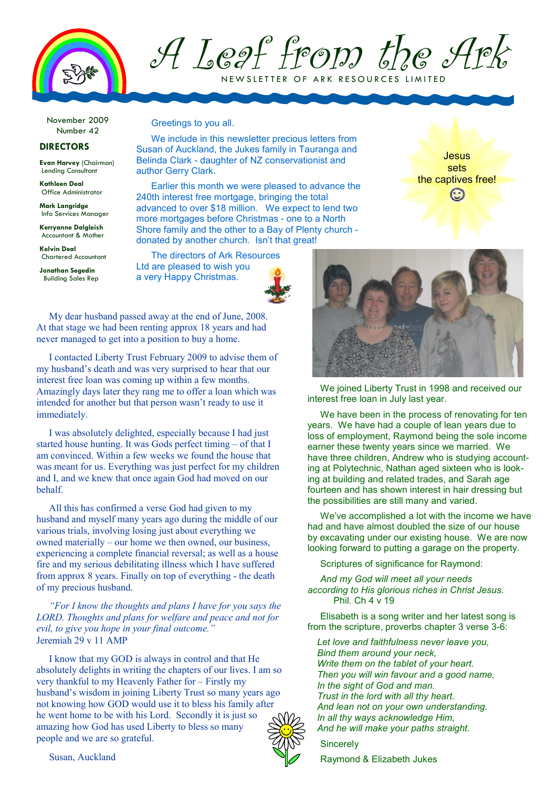

A Leaf from the Ark NEW SLETTER OF ARK RESOURCES LIMITED

November 2009 Number 42

## **DIRECTORS**

**Evan Harvey** (Chairman) Lending Consultant

**Kathleen Deal**  Office Administrator

**Mark Langridge**  Info Services Manager

**Kerryanne Dalgleish**  Accountant & Mother

**Kelvin Deal**  Chartered Accountant

**Jonathan Segedin**  Building Sales Rep Greetings to you all.

We include in this newsletter precious letters from Susan of Auckland, the Jukes family in Tauranga and Belinda Clark - daughter of NZ conservationist and author Gerry Clark.

Earlier this month we were pleased to advance the 240th interest free mortgage, bringing the total advanced to over \$18 million. We expect to lend two more mortgages before Christmas - one to a North Shore family and the other to a Bay of Plenty church donated by another church. Isn't that great!

The directors of Ark Resources Ltd are pleased to wish you a very Happy Christmas.



My dear husband passed away at the end of June, 2008. At that stage we had been renting approx 18 years and had never managed to get into a position to buy a home.

I contacted Liberty Trust February 2009 to advise them of my husband's death and was very surprised to hear that our interest free loan was coming up within a few months. Amazingly days later they rang me to offer a loan which was intended for another but that person wasn't ready to use it immediately.

I was absolutely delighted, especially because I had just started house hunting. It was Gods perfect timing – of that I am convinced. Within a few weeks we found the house that was meant for us. Everything was just perfect for my children and I, and we knew that once again God had moved on our behalf.

All this has confirmed a verse God had given to my husband and myself many years ago during the middle of our various trials, involving losing just about everything we owned materially – our home we then owned, our business, experiencing a complete financial reversal; as well as a house fire and my serious debilitating illness which I have suffered from approx 8 years. Finally on top of everything - the death of my precious husband.

*"For I know the thoughts and plans I have for you says the LORD. Thoughts and plans for welfare and peace and not for evil, to give you hope in your final outcome."*  Jeremiah 29 v 11 AMP

I know that my GOD is always in control and that He absolutely delights in writing the chapters of our lives. I am so very thankful to my Heavenly Father for – Firstly my husband's wisdom in joining Liberty Trust so many years ago not knowing how GOD would use it to bless his family after he went home to be with his Lord. Secondly it is just so amazing how God has used Liberty to bless so many people and we are so grateful.



**Jesus** sets the captives free!

We joined Liberty Trust in 1998 and received our interest free loan in July last year.

We have been in the process of renovating for ten years. We have had a couple of lean years due to loss of employment, Raymond being the sole income earner these twenty years since we married. We have three children, Andrew who is studying accounting at Polytechnic, Nathan aged sixteen who is looking at building and related trades, and Sarah age fourteen and has shown interest in hair dressing but the possibilities are still many and varied.

We've accomplished a lot with the income we have had and have almost doubled the size of our house by excavating under our existing house. We are now looking forward to putting a garage on the property.

Scriptures of significance for Raymond:

*And my God will meet all your needs according to His glorious riches in Christ Jesus.*  Phil. Ch 4 v 19

Elisabeth is a song writer and her latest song is from the scripture, proverbs chapter 3 verse 3-6:

*Let love and faithfulness never leave you, Bind them around your neck, Write them on the tablet of your heart. Then you will win favour and a good name, In the sight of God and man. Trust in the lord with all thy heart. And lean not on your own understanding. In all thy ways acknowledge Him, And he will make your paths straight.* 



Susan, Auckland

Raymond & Elizabeth Jukes

**Sincerely**